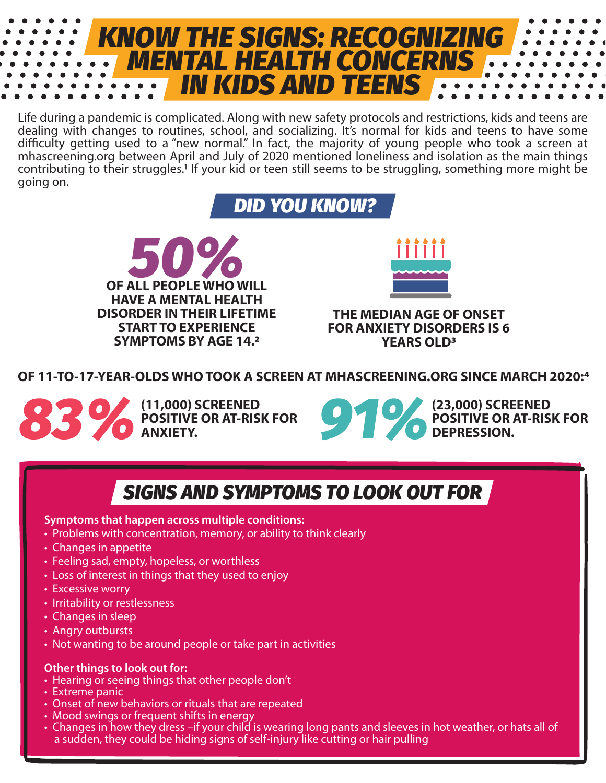

Life during a pandemic is complicated. Along with new safety protocols and restrictions, kids and teens are dealing with changes to routines, school, and socializing. It's normal for kids and teens to have some difficulty getting used to a "new normal." In fact, the majority of young people who took a screen at mhascreening.org between April and July of 2020 mentioned loneliness and isolation as the main things contributing to their struggles.1 If your kid or teen still seems to be struggling, something more might be going on.

*DID YOU KNOW?*





**THE MEDIAN AGE OF ONSET FOR ANXIETY DISORDERS IS 6 YEARS OLD3**

**OF 11-TO-17-YEAR-OLDS WHO TOOK A SCREEN AT MHASCREENING.ORG SINCE MARCH 2020:4**



**(11,000) SCREENED POSITIVE OR AT-RISK FOR ANXIETY.** 



### *SIGNS AND SYMPTOMS TO LOOK OUT FOR*

#### **Symptoms that happen across multiple conditions:**

- Problems with concentration, memory, or ability to think clearly
- Changes in appetite
- Feeling sad, empty, hopeless, or worthless
- Loss of interest in things that they used to enjoy
- Excessive worry
- Irritability or restlessness
- Changes in sleep
- Angry outbursts
- Not wanting to be around people or take part in activities

#### **Other things to look out for:**

- Hearing or seeing things that other people don't
- Extreme panic
- Onset of new behaviors or rituals that are repeated
- Mood swings or frequent shifts in energy
- mood swings or nequent shifts in energy<br>• Changes in how they dress –if your child is wearing long pants and sleeves in hot weather, or hats all of a sudden, they could be hiding signs of self-injury like cutting or hair pulling